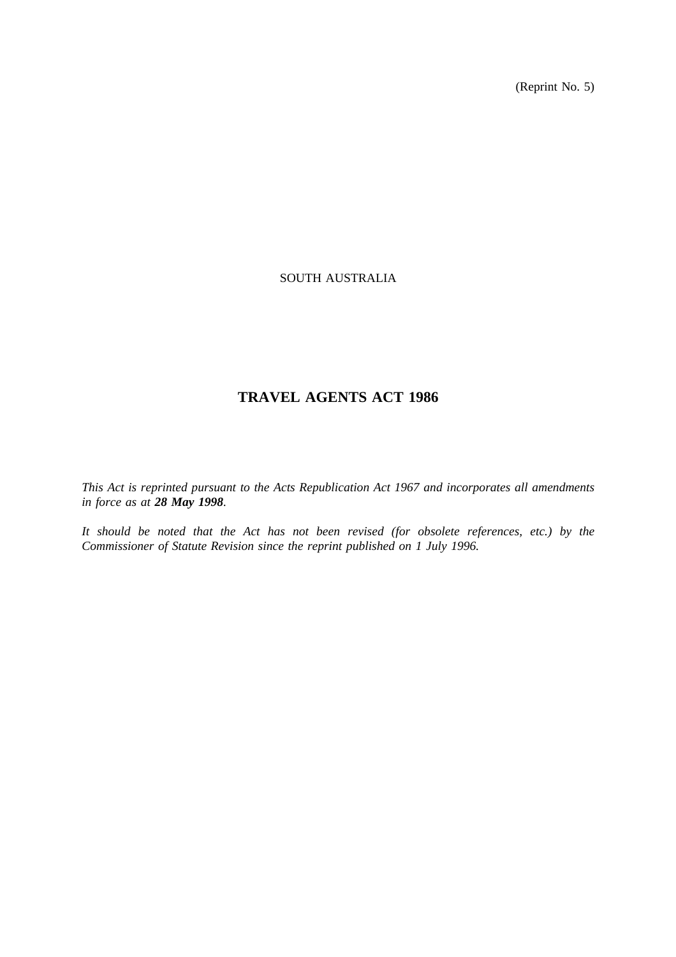(Reprint No. 5)

# SOUTH AUSTRALIA

# **TRAVEL AGENTS ACT 1986**

*This Act is reprinted pursuant to the Acts Republication Act 1967 and incorporates all amendments in force as at 28 May 1998.*

*It should be noted that the Act has not been revised (for obsolete references, etc.) by the Commissioner of Statute Revision since the reprint published on 1 July 1996.*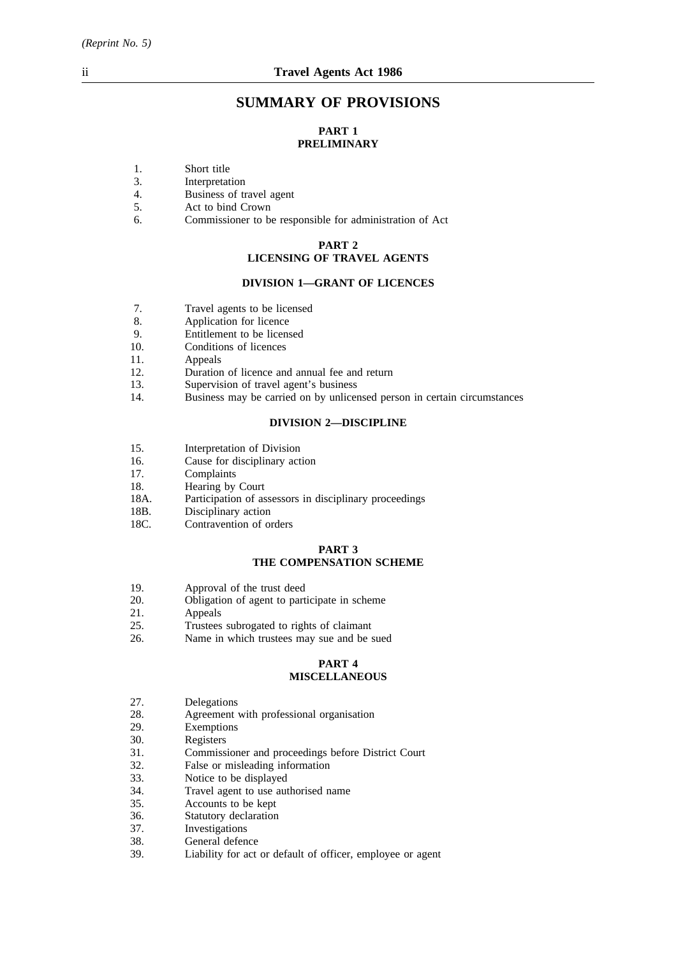# **SUMMARY OF PROVISIONS**

# **PART 1 PRELIMINARY**

- 1. Short title
- 3. Interpretation
- 4. Business of travel agent
- 5. Act to bind Crown
- 6. Commissioner to be responsible for administration of Act

#### **PART 2**

# **LICENSING OF TRAVEL AGENTS**

## **DIVISION 1—GRANT OF LICENCES**

- 7. Travel agents to be licensed
- 8. Application for licence<br>9. Finitement to be licens
- 9. Entitlement to be licensed<br>10. Conditions of licences
- Conditions of licences
- 11. Appeals
- 12. Duration of licence and annual fee and return
- 13. Supervision of travel agent's business
- 14. Business may be carried on by unlicensed person in certain circumstances

### **DIVISION 2—DISCIPLINE**

- 15. Interpretation of Division
- 16. Cause for disciplinary action 17.
- Complaints
- 18. Hearing by Court
- 18A. Participation of assessors in disciplinary proceedings
- 18B. Disciplinary action
- 18C. Contravention of orders

#### **PART 3 THE COMPENSATION SCHEME**

- 19. Approval of the trust deed
- 20. Obligation of agent to participate in scheme
- 21. Appeals
- 25. Trustees subrogated to rights of claimant
- 26. Name in which trustees may sue and be sued

#### **PART 4 MISCELLANEOUS**

- 27. Delegations
- 28. Agreement with professional organisation
- 29. Exemptions
- 30. Registers
- 31. Commissioner and proceedings before District Court
- 32. False or misleading information<br>33. Notice to be displayed
- Notice to be displayed
- 34. Travel agent to use authorised name
- 35. Accounts to be kept
- 36. Statutory declaration
- 37. Investigations
- 38. General defence
- 39. Liability for act or default of officer, employee or agent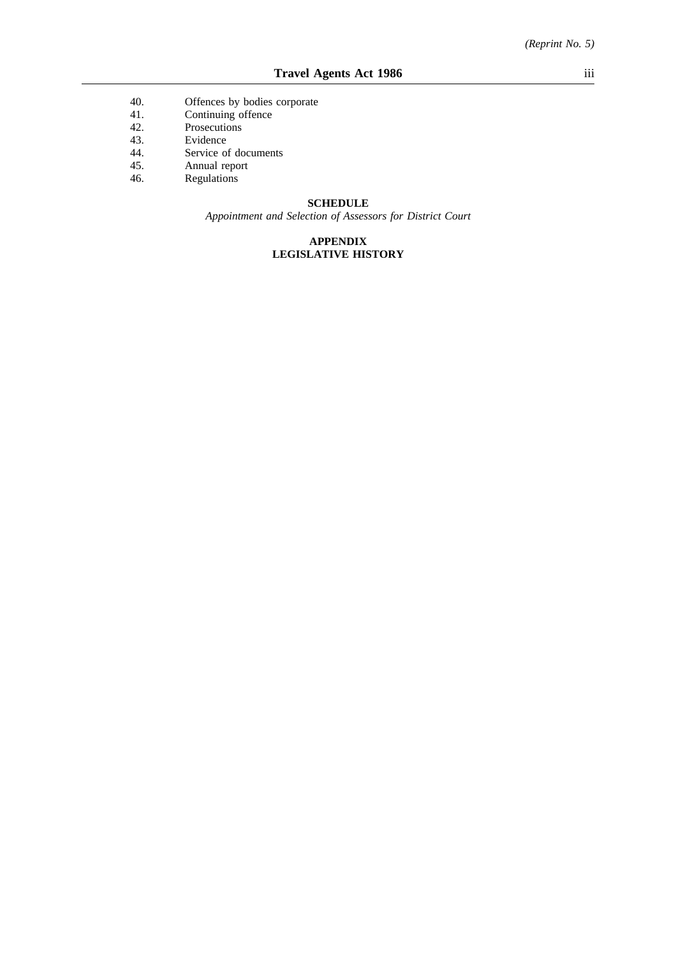- 40. Offences by bodies corporate
- 41. Continuing offence
- 42. Prosecutions
- 43. Evidence
- 44. Service of documents
- 45. Annual report<br>46. Regulations
- Regulations

### **SCHEDULE**

*Appointment and Selection of Assessors for District Court*

# **APPENDIX LEGISLATIVE HISTORY**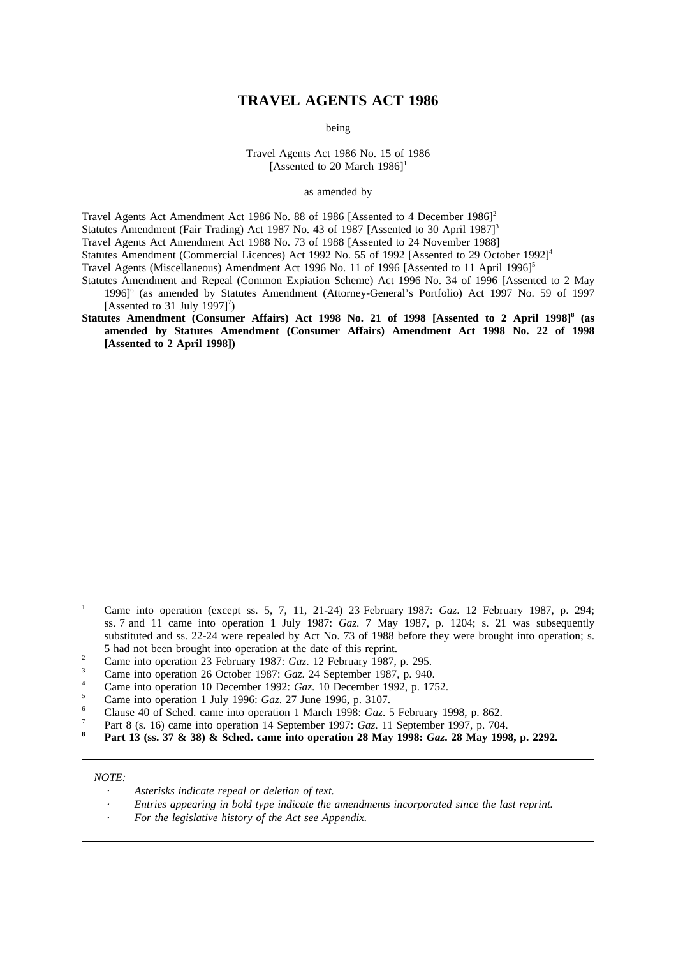# **TRAVEL AGENTS ACT 1986**

being

Travel Agents Act 1986 No. 15 of 1986 [Assented to 20 March  $1986$ ]<sup>1</sup>

as amended by

Travel Agents Act Amendment Act 1986 No. 88 of 1986 [Assented to 4 December 1986]<sup>2</sup> Statutes Amendment (Fair Trading) Act 1987 No. 43 of 1987 [Assented to 30 April 1987]<sup>3</sup>

Travel Agents Act Amendment Act 1988 No. 73 of 1988 [Assented to 24 November 1988]

Statutes Amendment (Commercial Licences) Act 1992 No. 55 of 1992 [Assented to 29 October 1992]<sup>4</sup>

Travel Agents (Miscellaneous) Amendment Act 1996 No. 11 of 1996 [Assented to 11 April 1996]<sup>5</sup>

- Statutes Amendment and Repeal (Common Expiation Scheme) Act 1996 No. 34 of 1996 [Assented to 2 May 1996]6 (as amended by Statutes Amendment (Attorney-General's Portfolio) Act 1997 No. 59 of 1997 [Assented to 31 July 1997] $^7$ )
- **Statutes Amendment (Consumer Affairs) Act 1998 No. 21 of 1998 [Assented to 2 April 1998]8 (as amended by Statutes Amendment (Consumer Affairs) Amendment Act 1998 No. 22 of 1998 [Assented to 2 April 1998])**

- <sup>1</sup> Came into operation (except ss. 5, 7, 11, 21-24) 23 February 1987: *Gaz*. 12 February 1987, p. 294; ss. 7 and 11 came into operation 1 July 1987: *Gaz*. 7 May 1987, p. 1204; s. 21 was subsequently substituted and ss. 22-24 were repealed by Act No. 73 of 1988 before they were brought into operation; s. 5 had not been brought into operation at the date of this reprint.
- <sup>2</sup> Came into operation 23 February 1987: *Gaz*. 12 February 1987, p. 295.
- 
- <sup>3</sup> Came into operation 26 October 1987: *Gaz*. 24 September 1987, p. 940. <sup>4</sup> Came into operation 10 December 1992: *Gaz*. 10 December 1992, p. 1752.
- <sup>5</sup> Came into operation 1 July 1996: *Gaz*. 27 June 1996, p. 3107.
- <sup>6</sup> Clause 40 of Sched. came into operation 1 March 1998: *Gaz*. 5 February 1998, p. 862.
- <sup>7</sup> Part 8 (s. 16) came into operation 14 September 1997: *Gaz*. 11 September 1997, p. 704.
- **<sup>8</sup> Part 13 (ss. 37 & 38) & Sched. came into operation 28 May 1998:** *Gaz***. 28 May 1998, p. 2292.**

#### *NOTE:*

- *Asterisks indicate repeal or deletion of text.*
- *Entries appearing in bold type indicate the amendments incorporated since the last reprint.*
- *For the legislative history of the Act see Appendix.*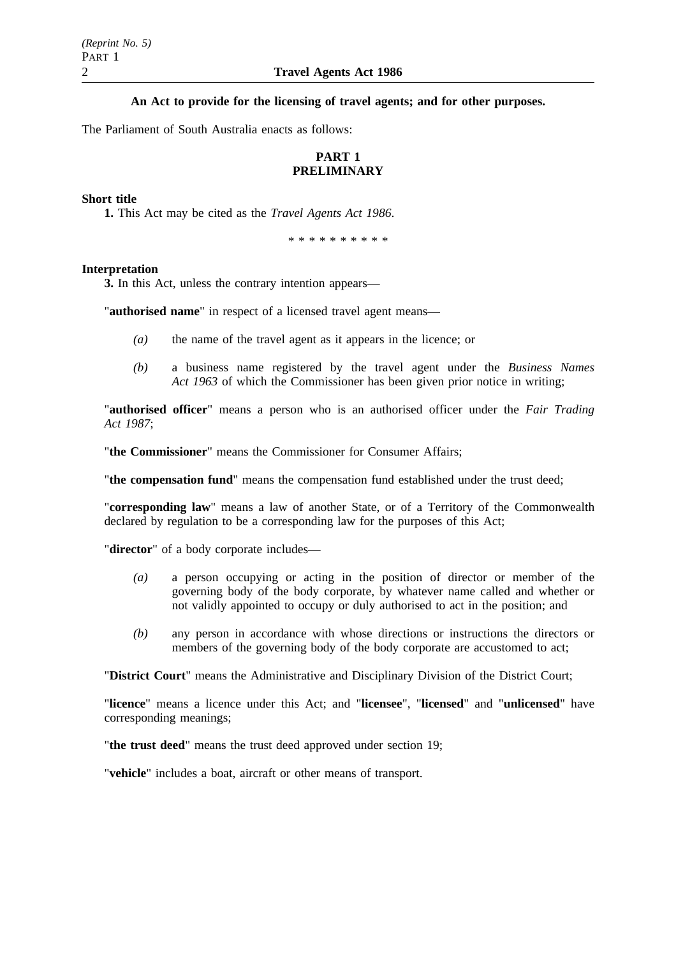**An Act to provide for the licensing of travel agents; and for other purposes.**

The Parliament of South Australia enacts as follows:

# **PART 1 PRELIMINARY**

## **Short title**

**1.** This Act may be cited as the *Travel Agents Act 1986*.

\*\*\*\*\*\*\*\*\*\*

### **Interpretation**

**3.** In this Act, unless the contrary intention appears—

"**authorised name**" in respect of a licensed travel agent means—

- *(a)* the name of the travel agent as it appears in the licence; or
- *(b)* a business name registered by the travel agent under the *Business Names Act 1963* of which the Commissioner has been given prior notice in writing;

"**authorised officer**" means a person who is an authorised officer under the *Fair Trading Act 1987*;

"**the Commissioner**" means the Commissioner for Consumer Affairs;

"**the compensation fund**" means the compensation fund established under the trust deed;

"**corresponding law**" means a law of another State, or of a Territory of the Commonwealth declared by regulation to be a corresponding law for the purposes of this Act;

"**director**" of a body corporate includes—

- *(a)* a person occupying or acting in the position of director or member of the governing body of the body corporate, by whatever name called and whether or not validly appointed to occupy or duly authorised to act in the position; and
- *(b)* any person in accordance with whose directions or instructions the directors or members of the governing body of the body corporate are accustomed to act;

"**District Court**" means the Administrative and Disciplinary Division of the District Court;

"**licence**" means a licence under this Act; and "**licensee**", "**licensed**" and "**unlicensed**" have corresponding meanings;

"**the trust deed**" means the trust deed approved under section 19;

"**vehicle**" includes a boat, aircraft or other means of transport.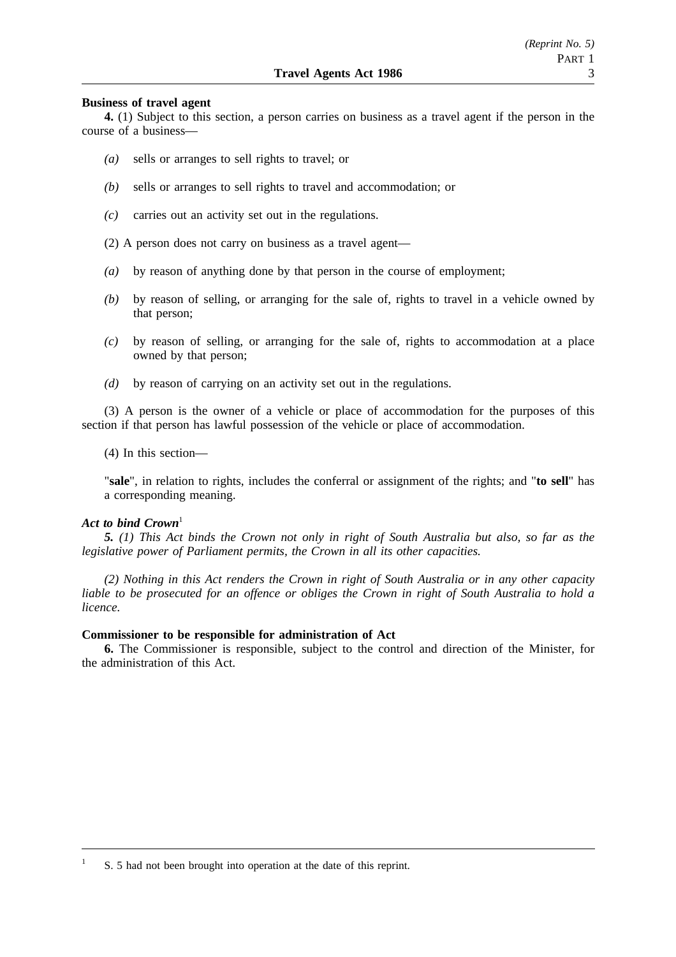#### **Business of travel agent**

**4.** (1) Subject to this section, a person carries on business as a travel agent if the person in the course of a business—

- *(a)* sells or arranges to sell rights to travel; or
- *(b)* sells or arranges to sell rights to travel and accommodation; or
- *(c)* carries out an activity set out in the regulations.
- (2) A person does not carry on business as a travel agent—
- *(a)* by reason of anything done by that person in the course of employment;
- *(b)* by reason of selling, or arranging for the sale of, rights to travel in a vehicle owned by that person;
- *(c)* by reason of selling, or arranging for the sale of, rights to accommodation at a place owned by that person;
- *(d)* by reason of carrying on an activity set out in the regulations.

(3) A person is the owner of a vehicle or place of accommodation for the purposes of this section if that person has lawful possession of the vehicle or place of accommodation.

(4) In this section—

"**sale**", in relation to rights, includes the conferral or assignment of the rights; and "**to sell**" has a corresponding meaning.

## Act to bind Crown<sup>1</sup>

*5. (1) This Act binds the Crown not only in right of South Australia but also, so far as the legislative power of Parliament permits, the Crown in all its other capacities.*

*(2) Nothing in this Act renders the Crown in right of South Australia or in any other capacity liable to be prosecuted for an offence or obliges the Crown in right of South Australia to hold a licence.*

#### **Commissioner to be responsible for administration of Act**

**6.** The Commissioner is responsible, subject to the control and direction of the Minister, for the administration of this Act.

<sup>1</sup> S. 5 had not been brought into operation at the date of this reprint.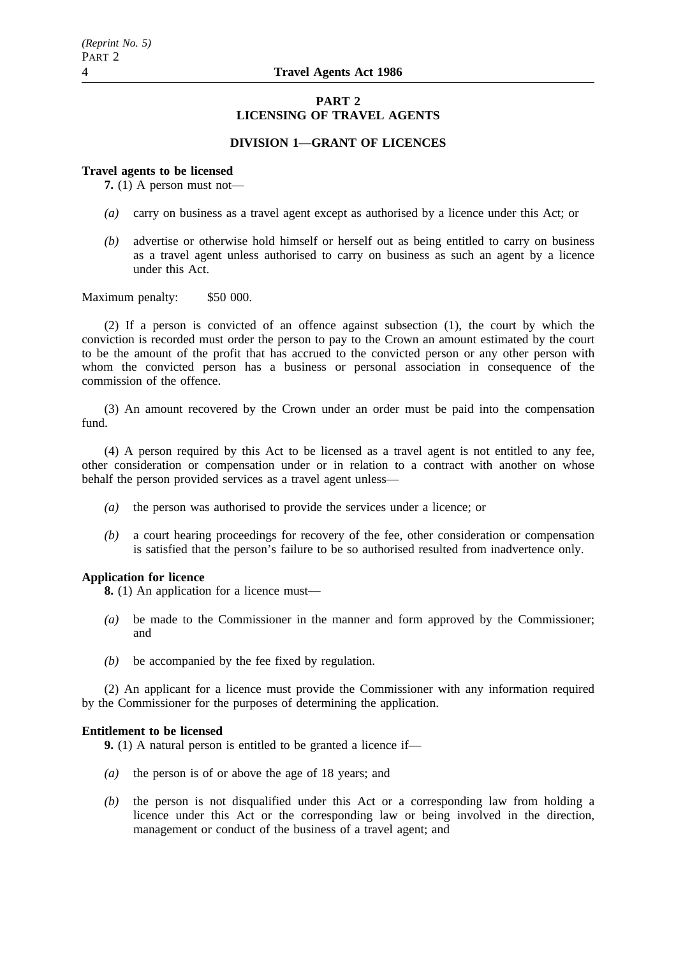# **PART 2 LICENSING OF TRAVEL AGENTS**

# **DIVISION 1—GRANT OF LICENCES**

#### **Travel agents to be licensed**

**7.** (1) A person must not—

- *(a)* carry on business as a travel agent except as authorised by a licence under this Act; or
- *(b)* advertise or otherwise hold himself or herself out as being entitled to carry on business as a travel agent unless authorised to carry on business as such an agent by a licence under this Act.

Maximum penalty: \$50 000.

(2) If a person is convicted of an offence against subsection (1), the court by which the conviction is recorded must order the person to pay to the Crown an amount estimated by the court to be the amount of the profit that has accrued to the convicted person or any other person with whom the convicted person has a business or personal association in consequence of the commission of the offence.

(3) An amount recovered by the Crown under an order must be paid into the compensation fund.

(4) A person required by this Act to be licensed as a travel agent is not entitled to any fee, other consideration or compensation under or in relation to a contract with another on whose behalf the person provided services as a travel agent unless—

- *(a)* the person was authorised to provide the services under a licence; or
- *(b)* a court hearing proceedings for recovery of the fee, other consideration or compensation is satisfied that the person's failure to be so authorised resulted from inadvertence only.

#### **Application for licence**

**8.** (1) An application for a licence must—

- *(a)* be made to the Commissioner in the manner and form approved by the Commissioner; and
- *(b)* be accompanied by the fee fixed by regulation.

(2) An applicant for a licence must provide the Commissioner with any information required by the Commissioner for the purposes of determining the application.

## **Entitlement to be licensed**

**9.** (1) A natural person is entitled to be granted a licence if—

- *(a)* the person is of or above the age of 18 years; and
- *(b)* the person is not disqualified under this Act or a corresponding law from holding a licence under this Act or the corresponding law or being involved in the direction, management or conduct of the business of a travel agent; and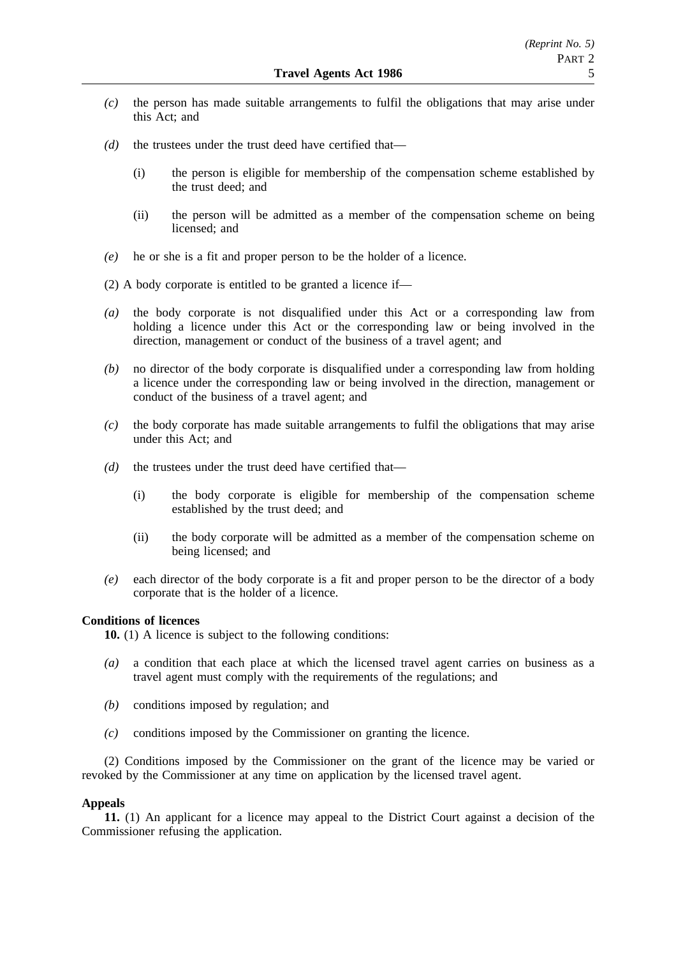- *(c)* the person has made suitable arrangements to fulfil the obligations that may arise under this Act; and
- *(d)* the trustees under the trust deed have certified that—
	- (i) the person is eligible for membership of the compensation scheme established by the trust deed; and
	- (ii) the person will be admitted as a member of the compensation scheme on being licensed; and
- *(e)* he or she is a fit and proper person to be the holder of a licence.
- (2) A body corporate is entitled to be granted a licence if—
- *(a)* the body corporate is not disqualified under this Act or a corresponding law from holding a licence under this Act or the corresponding law or being involved in the direction, management or conduct of the business of a travel agent; and
- *(b)* no director of the body corporate is disqualified under a corresponding law from holding a licence under the corresponding law or being involved in the direction, management or conduct of the business of a travel agent; and
- *(c)* the body corporate has made suitable arrangements to fulfil the obligations that may arise under this Act; and
- *(d)* the trustees under the trust deed have certified that—
	- (i) the body corporate is eligible for membership of the compensation scheme established by the trust deed; and
	- (ii) the body corporate will be admitted as a member of the compensation scheme on being licensed; and
- *(e)* each director of the body corporate is a fit and proper person to be the director of a body corporate that is the holder of a licence.

## **Conditions of licences**

**10.** (1) A licence is subject to the following conditions:

- *(a)* a condition that each place at which the licensed travel agent carries on business as a travel agent must comply with the requirements of the regulations; and
- *(b)* conditions imposed by regulation; and
- *(c)* conditions imposed by the Commissioner on granting the licence.

(2) Conditions imposed by the Commissioner on the grant of the licence may be varied or revoked by the Commissioner at any time on application by the licensed travel agent.

# **Appeals**

**11.** (1) An applicant for a licence may appeal to the District Court against a decision of the Commissioner refusing the application.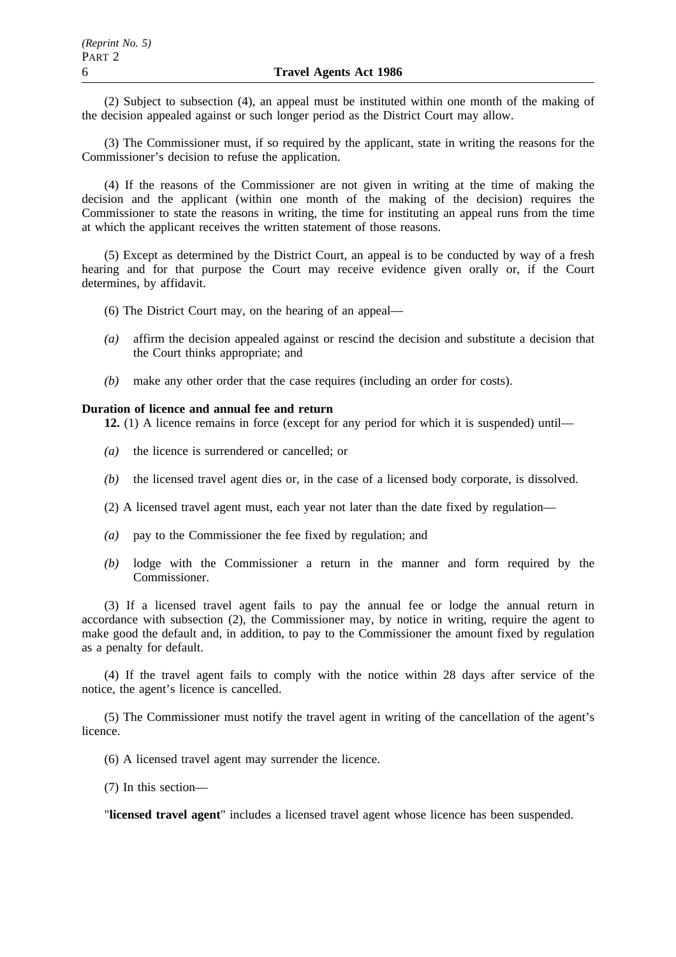(2) Subject to subsection (4), an appeal must be instituted within one month of the making of the decision appealed against or such longer period as the District Court may allow.

(3) The Commissioner must, if so required by the applicant, state in writing the reasons for the Commissioner's decision to refuse the application.

(4) If the reasons of the Commissioner are not given in writing at the time of making the decision and the applicant (within one month of the making of the decision) requires the Commissioner to state the reasons in writing, the time for instituting an appeal runs from the time at which the applicant receives the written statement of those reasons.

(5) Except as determined by the District Court, an appeal is to be conducted by way of a fresh hearing and for that purpose the Court may receive evidence given orally or, if the Court determines, by affidavit.

- (6) The District Court may, on the hearing of an appeal—
- *(a)* affirm the decision appealed against or rescind the decision and substitute a decision that the Court thinks appropriate; and
- *(b)* make any other order that the case requires (including an order for costs).

#### **Duration of licence and annual fee and return**

**12.** (1) A licence remains in force (except for any period for which it is suspended) until—

- *(a)* the licence is surrendered or cancelled; or
- *(b)* the licensed travel agent dies or, in the case of a licensed body corporate, is dissolved.
- (2) A licensed travel agent must, each year not later than the date fixed by regulation—
- *(a)* pay to the Commissioner the fee fixed by regulation; and
- *(b)* lodge with the Commissioner a return in the manner and form required by the Commissioner.

(3) If a licensed travel agent fails to pay the annual fee or lodge the annual return in accordance with subsection (2), the Commissioner may, by notice in writing, require the agent to make good the default and, in addition, to pay to the Commissioner the amount fixed by regulation as a penalty for default.

(4) If the travel agent fails to comply with the notice within 28 days after service of the notice, the agent's licence is cancelled.

(5) The Commissioner must notify the travel agent in writing of the cancellation of the agent's licence.

- (6) A licensed travel agent may surrender the licence.
- (7) In this section—

"**licensed travel agent**" includes a licensed travel agent whose licence has been suspended.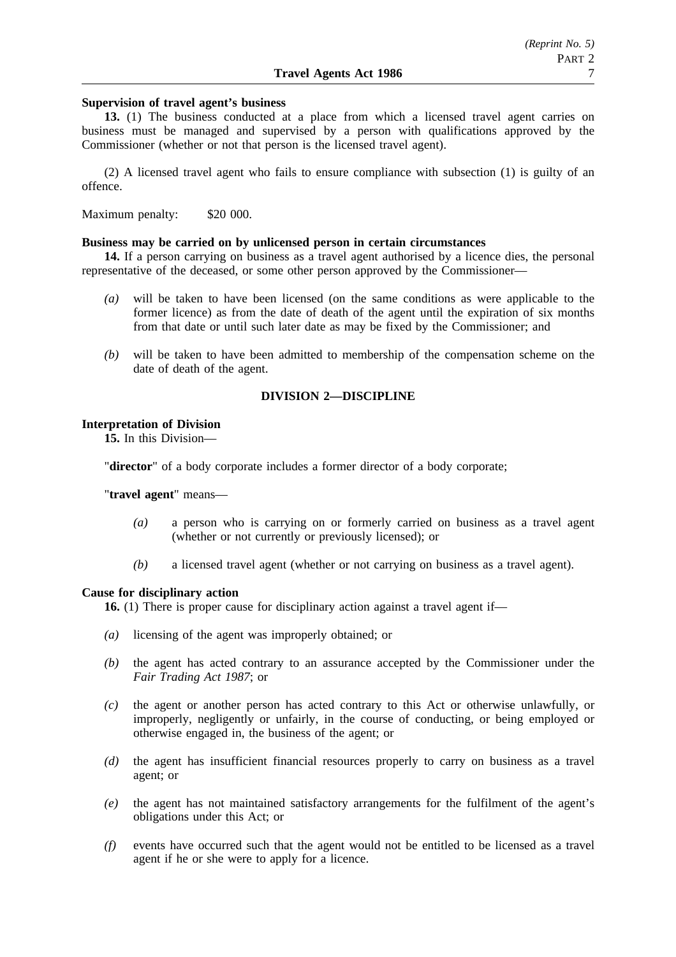#### **Supervision of travel agent's business**

**13.** (1) The business conducted at a place from which a licensed travel agent carries on business must be managed and supervised by a person with qualifications approved by the Commissioner (whether or not that person is the licensed travel agent).

(2) A licensed travel agent who fails to ensure compliance with subsection (1) is guilty of an offence.

Maximum penalty: \$20 000.

#### **Business may be carried on by unlicensed person in certain circumstances**

**14.** If a person carrying on business as a travel agent authorised by a licence dies, the personal representative of the deceased, or some other person approved by the Commissioner—

- *(a)* will be taken to have been licensed (on the same conditions as were applicable to the former licence) as from the date of death of the agent until the expiration of six months from that date or until such later date as may be fixed by the Commissioner; and
- *(b)* will be taken to have been admitted to membership of the compensation scheme on the date of death of the agent.

# **DIVISION 2—DISCIPLINE**

#### **Interpretation of Division**

**15.** In this Division—

"**director**" of a body corporate includes a former director of a body corporate;

"**travel agent**" means—

- *(a)* a person who is carrying on or formerly carried on business as a travel agent (whether or not currently or previously licensed); or
- *(b)* a licensed travel agent (whether or not carrying on business as a travel agent).

#### **Cause for disciplinary action**

**16.** (1) There is proper cause for disciplinary action against a travel agent if—

- *(a)* licensing of the agent was improperly obtained; or
- *(b)* the agent has acted contrary to an assurance accepted by the Commissioner under the *Fair Trading Act 1987*; or
- *(c)* the agent or another person has acted contrary to this Act or otherwise unlawfully, or improperly, negligently or unfairly, in the course of conducting, or being employed or otherwise engaged in, the business of the agent; or
- *(d)* the agent has insufficient financial resources properly to carry on business as a travel agent; or
- *(e)* the agent has not maintained satisfactory arrangements for the fulfilment of the agent's obligations under this Act; or
- *(f)* events have occurred such that the agent would not be entitled to be licensed as a travel agent if he or she were to apply for a licence.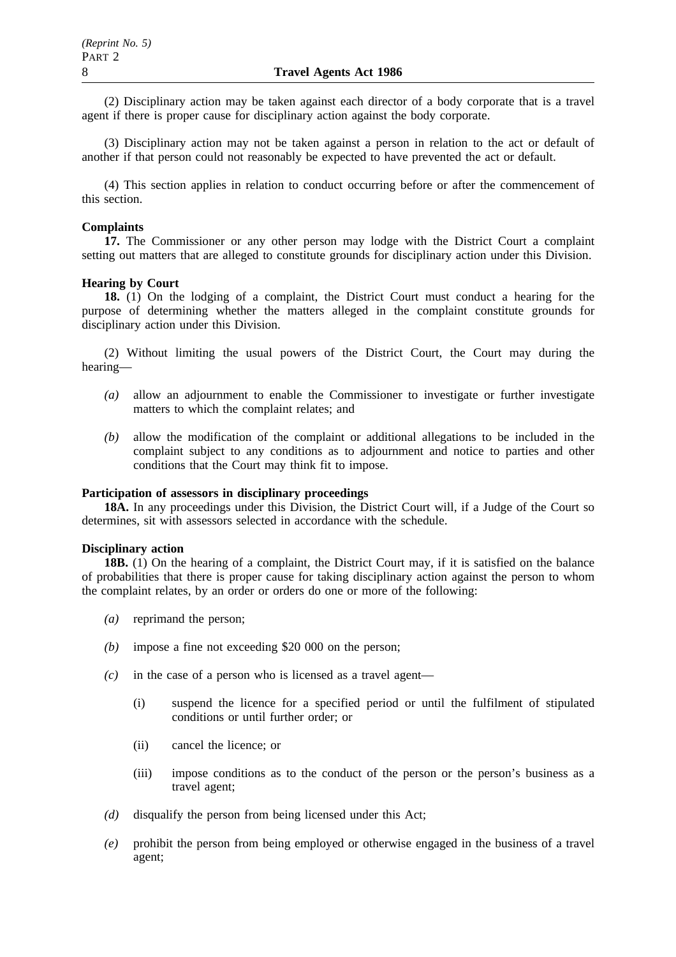(2) Disciplinary action may be taken against each director of a body corporate that is a travel agent if there is proper cause for disciplinary action against the body corporate.

(3) Disciplinary action may not be taken against a person in relation to the act or default of another if that person could not reasonably be expected to have prevented the act or default.

(4) This section applies in relation to conduct occurring before or after the commencement of this section.

## **Complaints**

**17.** The Commissioner or any other person may lodge with the District Court a complaint setting out matters that are alleged to constitute grounds for disciplinary action under this Division.

## **Hearing by Court**

**18.** (1) On the lodging of a complaint, the District Court must conduct a hearing for the purpose of determining whether the matters alleged in the complaint constitute grounds for disciplinary action under this Division.

(2) Without limiting the usual powers of the District Court, the Court may during the hearing—

- *(a)* allow an adjournment to enable the Commissioner to investigate or further investigate matters to which the complaint relates; and
- *(b)* allow the modification of the complaint or additional allegations to be included in the complaint subject to any conditions as to adjournment and notice to parties and other conditions that the Court may think fit to impose.

# **Participation of assessors in disciplinary proceedings**

18A. In any proceedings under this Division, the District Court will, if a Judge of the Court so determines, sit with assessors selected in accordance with the schedule.

## **Disciplinary action**

**18B.** (1) On the hearing of a complaint, the District Court may, if it is satisfied on the balance of probabilities that there is proper cause for taking disciplinary action against the person to whom the complaint relates, by an order or orders do one or more of the following:

- *(a)* reprimand the person;
- *(b)* impose a fine not exceeding \$20 000 on the person;
- *(c)* in the case of a person who is licensed as a travel agent—
	- (i) suspend the licence for a specified period or until the fulfilment of stipulated conditions or until further order; or
	- (ii) cancel the licence; or
	- (iii) impose conditions as to the conduct of the person or the person's business as a travel agent;
- *(d)* disqualify the person from being licensed under this Act;
- *(e)* prohibit the person from being employed or otherwise engaged in the business of a travel agent;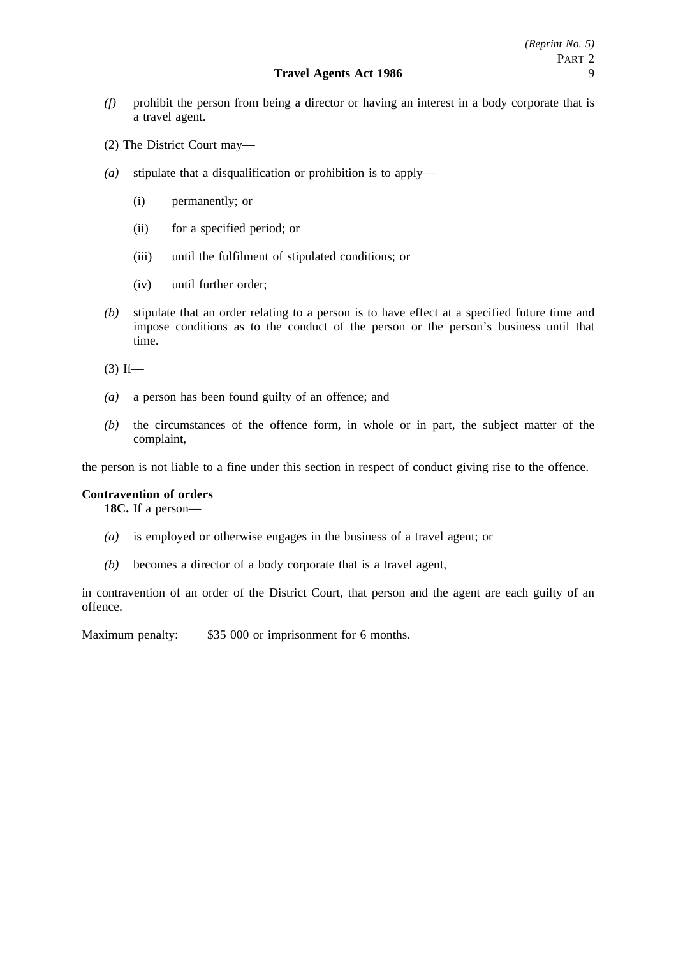- *(f)* prohibit the person from being a director or having an interest in a body corporate that is a travel agent.
- (2) The District Court may—
- *(a)* stipulate that a disqualification or prohibition is to apply—
	- (i) permanently; or
	- (ii) for a specified period; or
	- (iii) until the fulfilment of stipulated conditions; or
	- (iv) until further order;
- *(b)* stipulate that an order relating to a person is to have effect at a specified future time and impose conditions as to the conduct of the person or the person's business until that time.

 $(3)$  If—

- *(a)* a person has been found guilty of an offence; and
- *(b)* the circumstances of the offence form, in whole or in part, the subject matter of the complaint,

the person is not liable to a fine under this section in respect of conduct giving rise to the offence.

## **Contravention of orders**

**18C.** If a person—

- *(a)* is employed or otherwise engages in the business of a travel agent; or
- *(b)* becomes a director of a body corporate that is a travel agent,

in contravention of an order of the District Court, that person and the agent are each guilty of an offence.

Maximum penalty: \$35 000 or imprisonment for 6 months.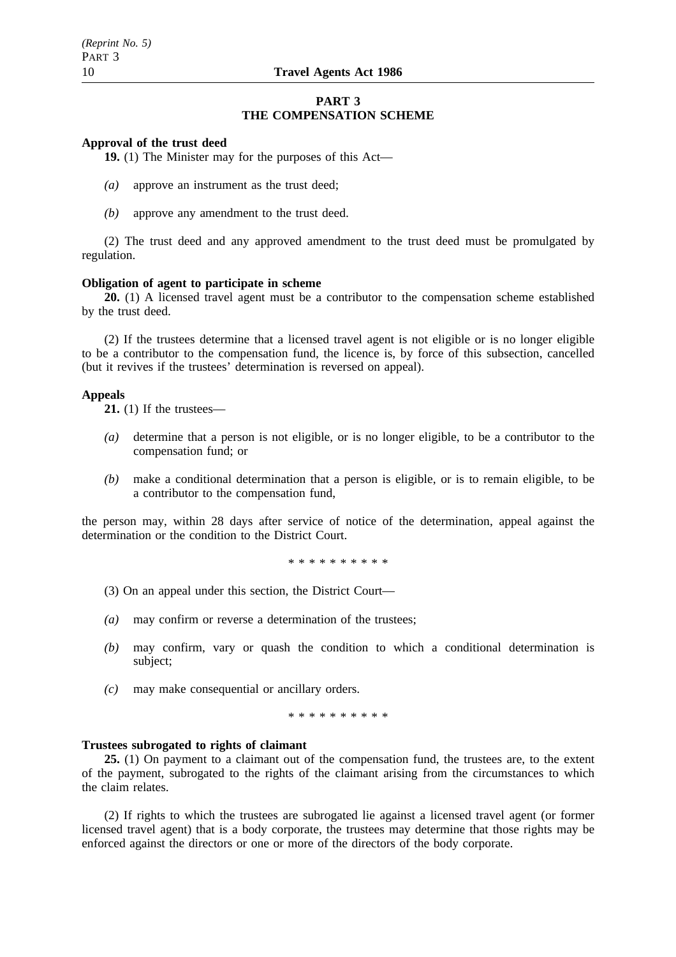### **PART 3 THE COMPENSATION SCHEME**

#### **Approval of the trust deed**

**19.** (1) The Minister may for the purposes of this Act—

- *(a)* approve an instrument as the trust deed;
- *(b)* approve any amendment to the trust deed.

(2) The trust deed and any approved amendment to the trust deed must be promulgated by regulation.

#### **Obligation of agent to participate in scheme**

**20.** (1) A licensed travel agent must be a contributor to the compensation scheme established by the trust deed.

(2) If the trustees determine that a licensed travel agent is not eligible or is no longer eligible to be a contributor to the compensation fund, the licence is, by force of this subsection, cancelled (but it revives if the trustees' determination is reversed on appeal).

#### **Appeals**

**21.** (1) If the trustees—

- *(a)* determine that a person is not eligible, or is no longer eligible, to be a contributor to the compensation fund; or
- *(b)* make a conditional determination that a person is eligible, or is to remain eligible, to be a contributor to the compensation fund,

the person may, within 28 days after service of notice of the determination, appeal against the determination or the condition to the District Court.

\*\*\*\*\*\*\*\*\*\*

- (3) On an appeal under this section, the District Court—
- *(a)* may confirm or reverse a determination of the trustees;
- *(b)* may confirm, vary or quash the condition to which a conditional determination is subject;
- *(c)* may make consequential or ancillary orders.

\*\*\*\*\*\*\*\*\*\*

#### **Trustees subrogated to rights of claimant**

**25.** (1) On payment to a claimant out of the compensation fund, the trustees are, to the extent of the payment, subrogated to the rights of the claimant arising from the circumstances to which the claim relates.

(2) If rights to which the trustees are subrogated lie against a licensed travel agent (or former licensed travel agent) that is a body corporate, the trustees may determine that those rights may be enforced against the directors or one or more of the directors of the body corporate.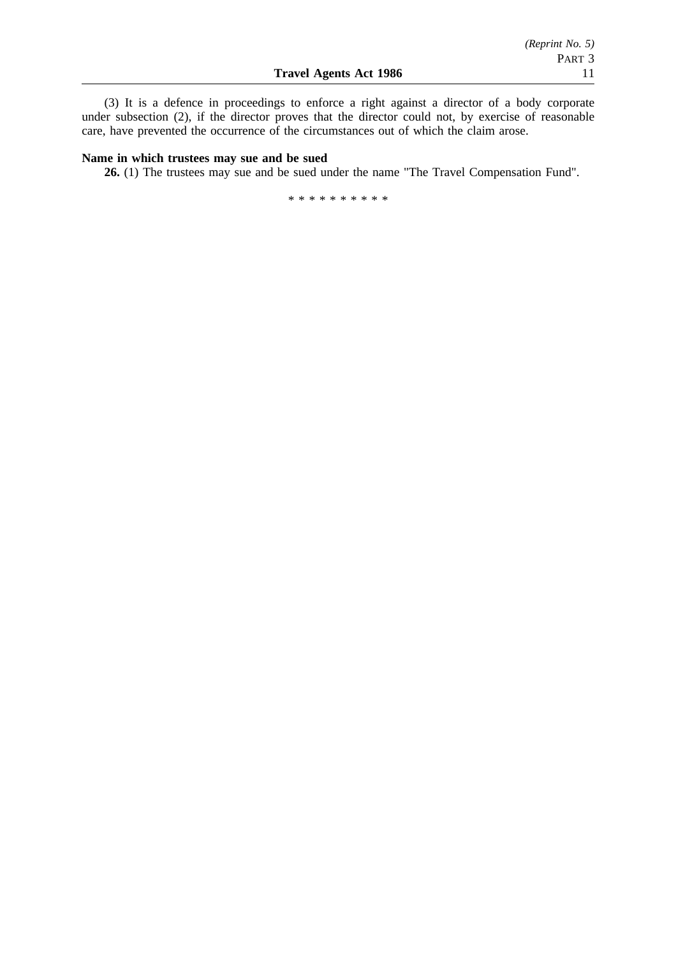(3) It is a defence in proceedings to enforce a right against a director of a body corporate under subsection (2), if the director proves that the director could not, by exercise of reasonable care, have prevented the occurrence of the circumstances out of which the claim arose.

### **Name in which trustees may sue and be sued**

**26.** (1) The trustees may sue and be sued under the name "The Travel Compensation Fund".

\*\*\*\*\*\*\*\*\*\*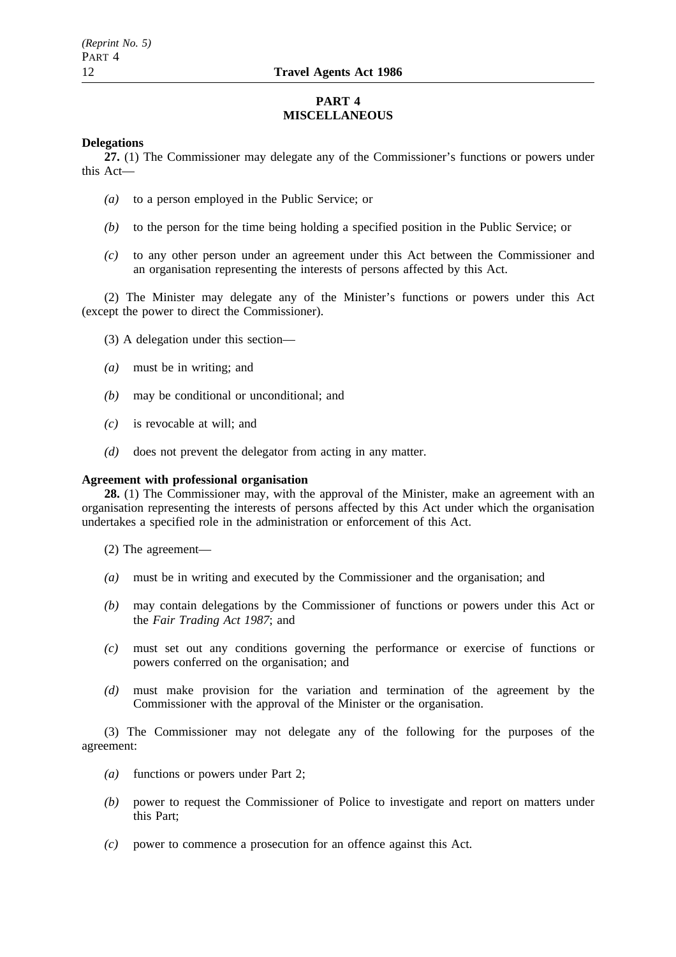# **PART 4 MISCELLANEOUS**

## **Delegations**

**27.** (1) The Commissioner may delegate any of the Commissioner's functions or powers under this Act—

- *(a)* to a person employed in the Public Service; or
- *(b)* to the person for the time being holding a specified position in the Public Service; or
- *(c)* to any other person under an agreement under this Act between the Commissioner and an organisation representing the interests of persons affected by this Act.

(2) The Minister may delegate any of the Minister's functions or powers under this Act (except the power to direct the Commissioner).

- (3) A delegation under this section—
- *(a)* must be in writing; and
- *(b)* may be conditional or unconditional; and
- *(c)* is revocable at will; and
- *(d)* does not prevent the delegator from acting in any matter.

# **Agreement with professional organisation**

**28.** (1) The Commissioner may, with the approval of the Minister, make an agreement with an organisation representing the interests of persons affected by this Act under which the organisation undertakes a specified role in the administration or enforcement of this Act.

- (2) The agreement—
- *(a)* must be in writing and executed by the Commissioner and the organisation; and
- *(b)* may contain delegations by the Commissioner of functions or powers under this Act or the *Fair Trading Act 1987*; and
- *(c)* must set out any conditions governing the performance or exercise of functions or powers conferred on the organisation; and
- *(d)* must make provision for the variation and termination of the agreement by the Commissioner with the approval of the Minister or the organisation.

(3) The Commissioner may not delegate any of the following for the purposes of the agreement:

- *(a)* functions or powers under Part 2;
- *(b)* power to request the Commissioner of Police to investigate and report on matters under this Part;
- *(c)* power to commence a prosecution for an offence against this Act.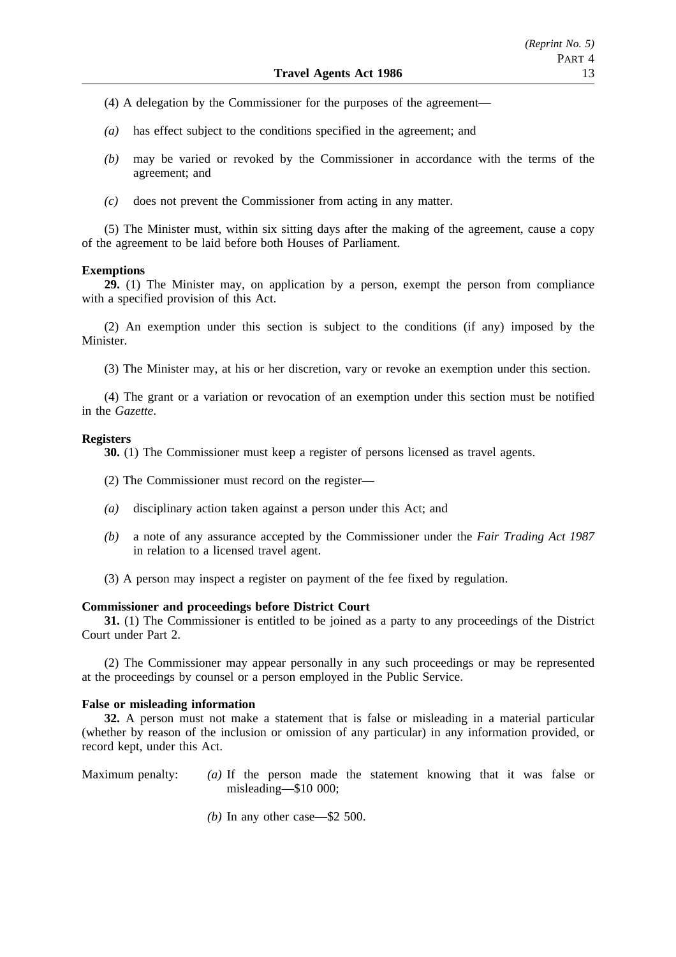- (4) A delegation by the Commissioner for the purposes of the agreement—
- *(a)* has effect subject to the conditions specified in the agreement; and
- *(b)* may be varied or revoked by the Commissioner in accordance with the terms of the agreement; and
- *(c)* does not prevent the Commissioner from acting in any matter.

(5) The Minister must, within six sitting days after the making of the agreement, cause a copy of the agreement to be laid before both Houses of Parliament.

#### **Exemptions**

**29.** (1) The Minister may, on application by a person, exempt the person from compliance with a specified provision of this Act.

(2) An exemption under this section is subject to the conditions (if any) imposed by the Minister.

(3) The Minister may, at his or her discretion, vary or revoke an exemption under this section.

(4) The grant or a variation or revocation of an exemption under this section must be notified in the *Gazette*.

#### **Registers**

**30.** (1) The Commissioner must keep a register of persons licensed as travel agents.

- (2) The Commissioner must record on the register—
- *(a)* disciplinary action taken against a person under this Act; and
- *(b)* a note of any assurance accepted by the Commissioner under the *Fair Trading Act 1987* in relation to a licensed travel agent.
- (3) A person may inspect a register on payment of the fee fixed by regulation.

## **Commissioner and proceedings before District Court**

**31.** (1) The Commissioner is entitled to be joined as a party to any proceedings of the District Court under Part 2.

(2) The Commissioner may appear personally in any such proceedings or may be represented at the proceedings by counsel or a person employed in the Public Service.

### **False or misleading information**

**32.** A person must not make a statement that is false or misleading in a material particular (whether by reason of the inclusion or omission of any particular) in any information provided, or record kept, under this Act.

- Maximum penalty: *(a)* If the person made the statement knowing that it was false or misleading—\$10 000;
	- *(b)* In any other case—\$2 500.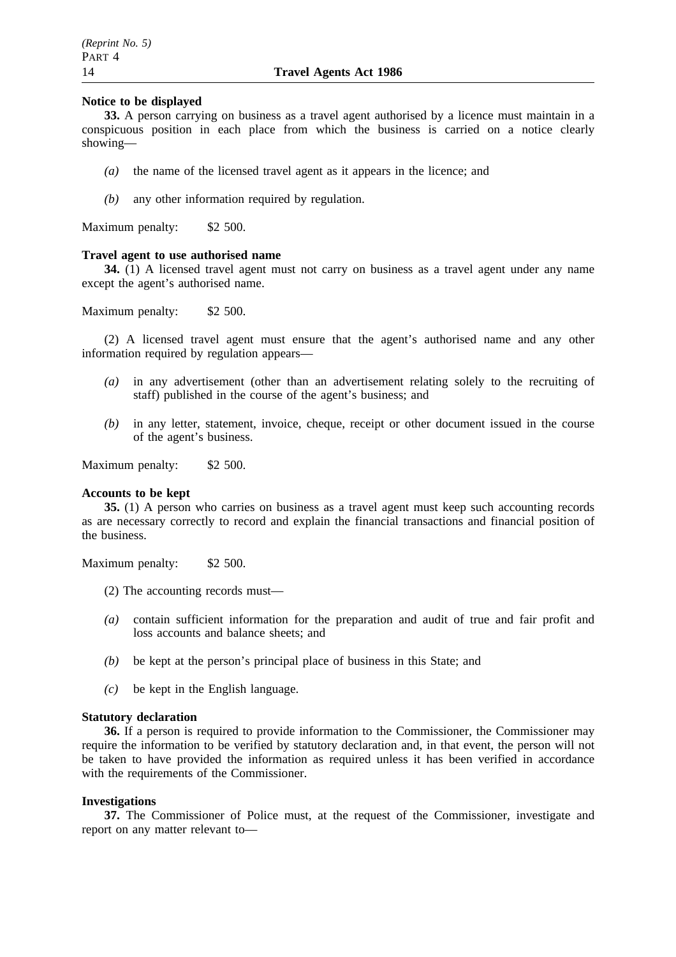## **Notice to be displayed**

**33.** A person carrying on business as a travel agent authorised by a licence must maintain in a conspicuous position in each place from which the business is carried on a notice clearly showing—

- *(a)* the name of the licensed travel agent as it appears in the licence; and
- *(b)* any other information required by regulation.

Maximum penalty: \$2 500.

#### **Travel agent to use authorised name**

**34.** (1) A licensed travel agent must not carry on business as a travel agent under any name except the agent's authorised name.

Maximum penalty: \$2 500.

(2) A licensed travel agent must ensure that the agent's authorised name and any other information required by regulation appears—

- *(a)* in any advertisement (other than an advertisement relating solely to the recruiting of staff) published in the course of the agent's business; and
- *(b)* in any letter, statement, invoice, cheque, receipt or other document issued in the course of the agent's business.

Maximum penalty: \$2 500.

#### **Accounts to be kept**

**35.** (1) A person who carries on business as a travel agent must keep such accounting records as are necessary correctly to record and explain the financial transactions and financial position of the business.

Maximum penalty: \$2 500.

- (2) The accounting records must—
- *(a)* contain sufficient information for the preparation and audit of true and fair profit and loss accounts and balance sheets; and
- *(b)* be kept at the person's principal place of business in this State; and
- *(c)* be kept in the English language.

#### **Statutory declaration**

**36.** If a person is required to provide information to the Commissioner, the Commissioner may require the information to be verified by statutory declaration and, in that event, the person will not be taken to have provided the information as required unless it has been verified in accordance with the requirements of the Commissioner.

# **Investigations**

**37.** The Commissioner of Police must, at the request of the Commissioner, investigate and report on any matter relevant to—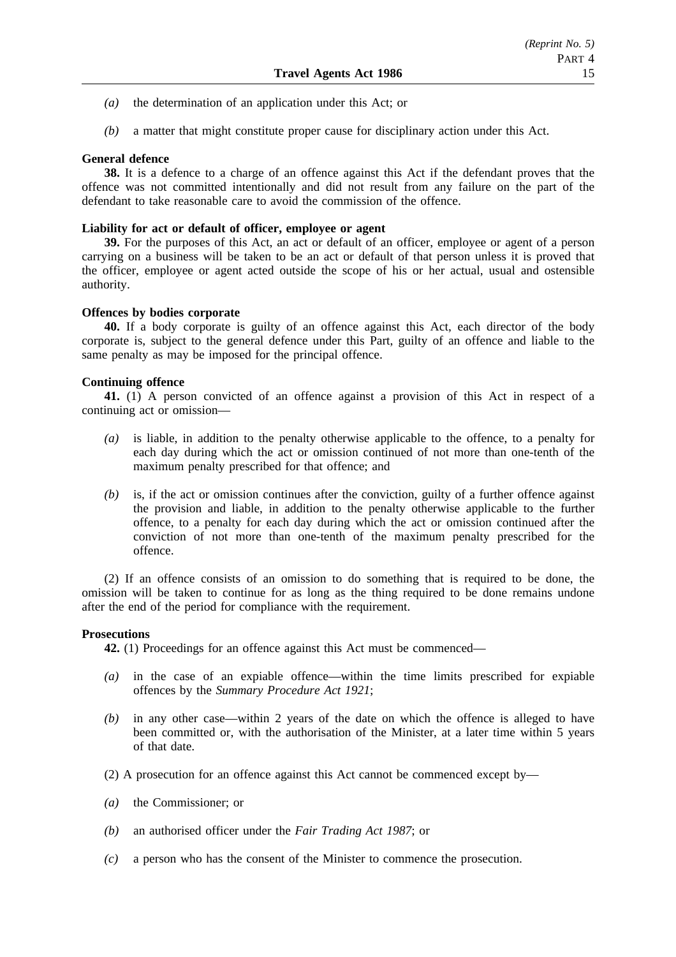- *(a)* the determination of an application under this Act; or
- *(b)* a matter that might constitute proper cause for disciplinary action under this Act.

# **General defence**

**38.** It is a defence to a charge of an offence against this Act if the defendant proves that the offence was not committed intentionally and did not result from any failure on the part of the defendant to take reasonable care to avoid the commission of the offence.

## **Liability for act or default of officer, employee or agent**

**39.** For the purposes of this Act, an act or default of an officer, employee or agent of a person carrying on a business will be taken to be an act or default of that person unless it is proved that the officer, employee or agent acted outside the scope of his or her actual, usual and ostensible authority.

# **Offences by bodies corporate**

**40.** If a body corporate is guilty of an offence against this Act, each director of the body corporate is, subject to the general defence under this Part, guilty of an offence and liable to the same penalty as may be imposed for the principal offence.

# **Continuing offence**

**41.** (1) A person convicted of an offence against a provision of this Act in respect of a continuing act or omission—

- *(a)* is liable, in addition to the penalty otherwise applicable to the offence, to a penalty for each day during which the act or omission continued of not more than one-tenth of the maximum penalty prescribed for that offence; and
- *(b)* is, if the act or omission continues after the conviction, guilty of a further offence against the provision and liable, in addition to the penalty otherwise applicable to the further offence, to a penalty for each day during which the act or omission continued after the conviction of not more than one-tenth of the maximum penalty prescribed for the offence.

(2) If an offence consists of an omission to do something that is required to be done, the omission will be taken to continue for as long as the thing required to be done remains undone after the end of the period for compliance with the requirement.

## **Prosecutions**

**42.** (1) Proceedings for an offence against this Act must be commenced—

- *(a)* in the case of an expiable offence—within the time limits prescribed for expiable offences by the *Summary Procedure Act 1921*;
- *(b)* in any other case—within 2 years of the date on which the offence is alleged to have been committed or, with the authorisation of the Minister, at a later time within 5 years of that date.
- (2) A prosecution for an offence against this Act cannot be commenced except by—
- *(a)* the Commissioner; or
- *(b)* an authorised officer under the *Fair Trading Act 1987*; or
- *(c)* a person who has the consent of the Minister to commence the prosecution.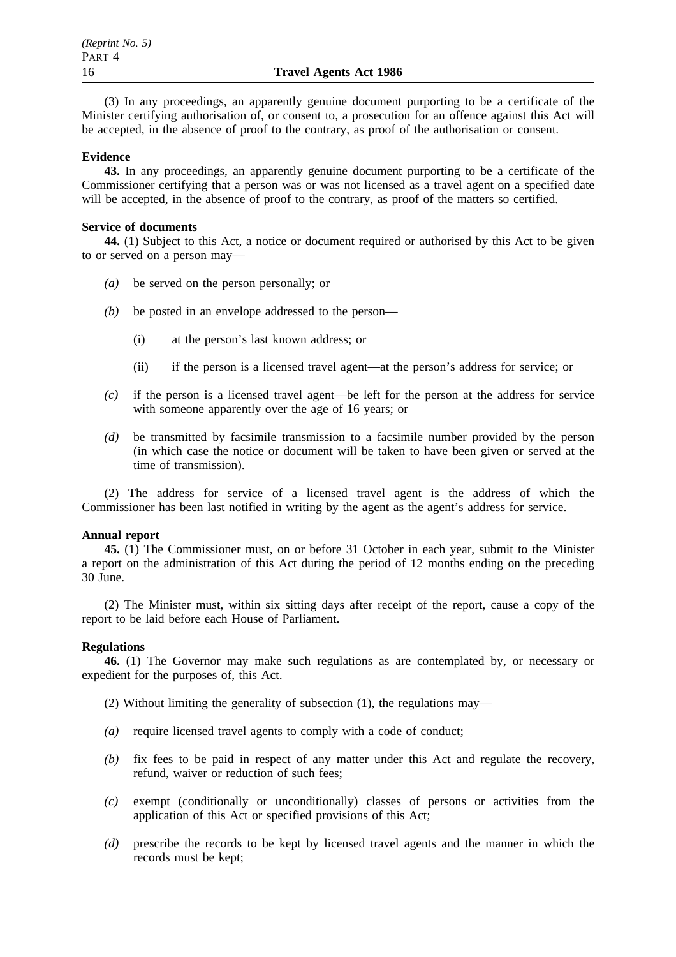(3) In any proceedings, an apparently genuine document purporting to be a certificate of the Minister certifying authorisation of, or consent to, a prosecution for an offence against this Act will be accepted, in the absence of proof to the contrary, as proof of the authorisation or consent.

## **Evidence**

**43.** In any proceedings, an apparently genuine document purporting to be a certificate of the Commissioner certifying that a person was or was not licensed as a travel agent on a specified date will be accepted, in the absence of proof to the contrary, as proof of the matters so certified.

# **Service of documents**

**44.** (1) Subject to this Act, a notice or document required or authorised by this Act to be given to or served on a person may—

- *(a)* be served on the person personally; or
- *(b)* be posted in an envelope addressed to the person—
	- (i) at the person's last known address; or
	- (ii) if the person is a licensed travel agent—at the person's address for service; or
- *(c)* if the person is a licensed travel agent—be left for the person at the address for service with someone apparently over the age of 16 years; or
- *(d)* be transmitted by facsimile transmission to a facsimile number provided by the person (in which case the notice or document will be taken to have been given or served at the time of transmission).

(2) The address for service of a licensed travel agent is the address of which the Commissioner has been last notified in writing by the agent as the agent's address for service.

## **Annual report**

**45.** (1) The Commissioner must, on or before 31 October in each year, submit to the Minister a report on the administration of this Act during the period of 12 months ending on the preceding 30 June.

(2) The Minister must, within six sitting days after receipt of the report, cause a copy of the report to be laid before each House of Parliament.

## **Regulations**

**46.** (1) The Governor may make such regulations as are contemplated by, or necessary or expedient for the purposes of, this Act.

(2) Without limiting the generality of subsection (1), the regulations may—

- *(a)* require licensed travel agents to comply with a code of conduct;
- *(b)* fix fees to be paid in respect of any matter under this Act and regulate the recovery, refund, waiver or reduction of such fees;
- *(c)* exempt (conditionally or unconditionally) classes of persons or activities from the application of this Act or specified provisions of this Act;
- *(d)* prescribe the records to be kept by licensed travel agents and the manner in which the records must be kept;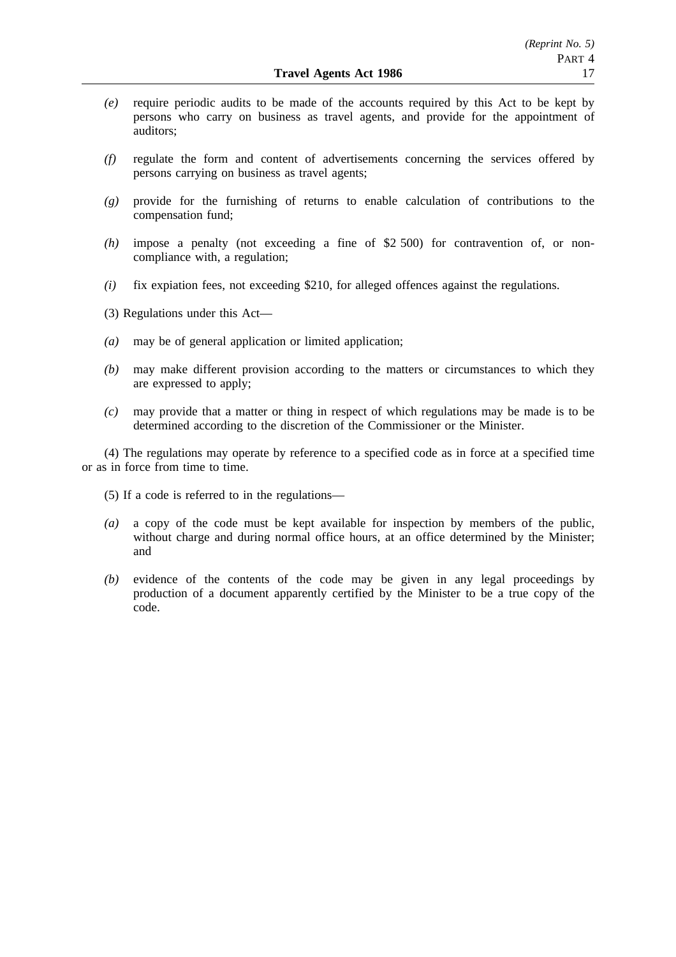- *(e)* require periodic audits to be made of the accounts required by this Act to be kept by persons who carry on business as travel agents, and provide for the appointment of auditors;
- *(f)* regulate the form and content of advertisements concerning the services offered by persons carrying on business as travel agents;
- *(g)* provide for the furnishing of returns to enable calculation of contributions to the compensation fund;
- *(h)* impose a penalty (not exceeding a fine of \$2 500) for contravention of, or noncompliance with, a regulation;
- *(i)* fix expiation fees, not exceeding \$210, for alleged offences against the regulations.
- (3) Regulations under this Act—
- *(a)* may be of general application or limited application;
- *(b)* may make different provision according to the matters or circumstances to which they are expressed to apply;
- *(c)* may provide that a matter or thing in respect of which regulations may be made is to be determined according to the discretion of the Commissioner or the Minister.

(4) The regulations may operate by reference to a specified code as in force at a specified time or as in force from time to time.

- (5) If a code is referred to in the regulations—
- *(a)* a copy of the code must be kept available for inspection by members of the public, without charge and during normal office hours, at an office determined by the Minister; and
- *(b)* evidence of the contents of the code may be given in any legal proceedings by production of a document apparently certified by the Minister to be a true copy of the code.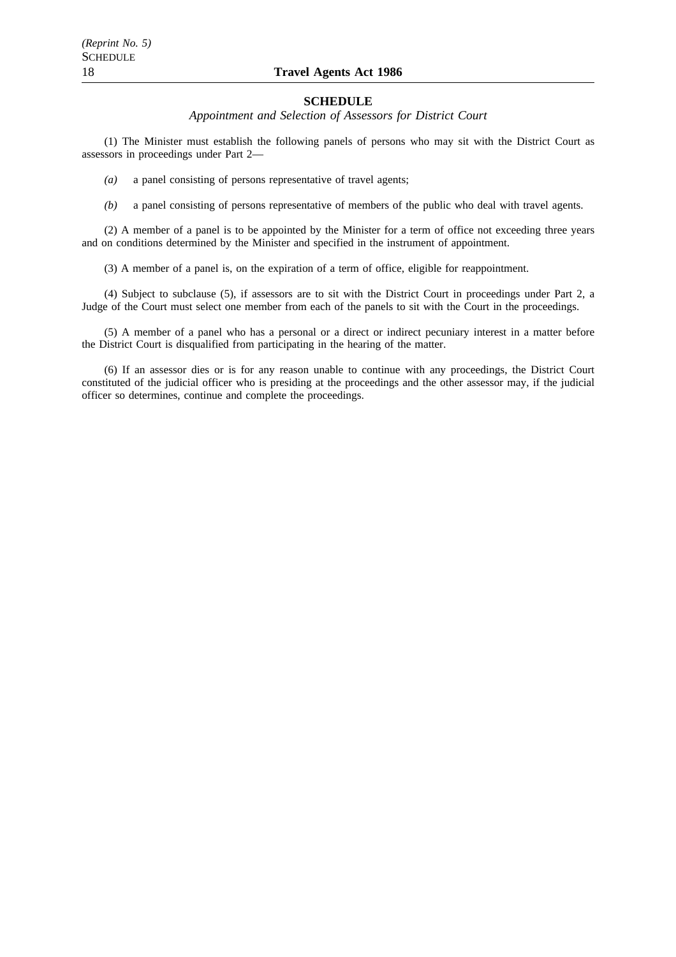# 18 **Travel Agents Act 1986**

#### **SCHEDULE**

*Appointment and Selection of Assessors for District Court*

(1) The Minister must establish the following panels of persons who may sit with the District Court as assessors in proceedings under Part 2—

*(a)* a panel consisting of persons representative of travel agents;

*(b)* a panel consisting of persons representative of members of the public who deal with travel agents.

(2) A member of a panel is to be appointed by the Minister for a term of office not exceeding three years and on conditions determined by the Minister and specified in the instrument of appointment.

(3) A member of a panel is, on the expiration of a term of office, eligible for reappointment.

(4) Subject to subclause (5), if assessors are to sit with the District Court in proceedings under Part 2, a Judge of the Court must select one member from each of the panels to sit with the Court in the proceedings.

(5) A member of a panel who has a personal or a direct or indirect pecuniary interest in a matter before the District Court is disqualified from participating in the hearing of the matter.

(6) If an assessor dies or is for any reason unable to continue with any proceedings, the District Court constituted of the judicial officer who is presiding at the proceedings and the other assessor may, if the judicial officer so determines, continue and complete the proceedings.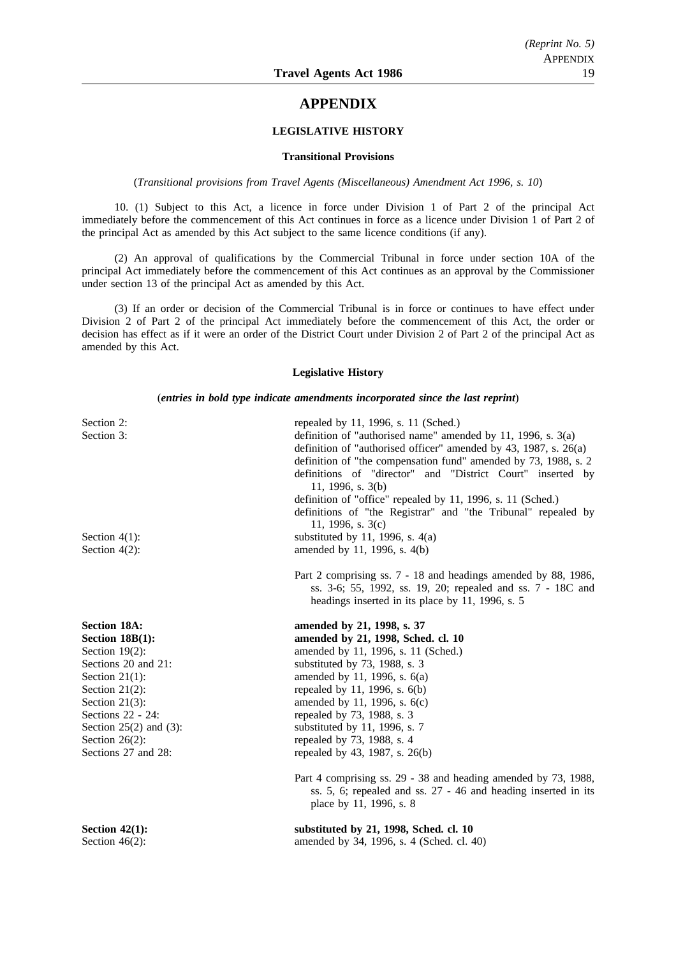# **APPENDIX**

#### **LEGISLATIVE HISTORY**

#### **Transitional Provisions**

(*Transitional provisions from Travel Agents (Miscellaneous) Amendment Act 1996, s. 10*)

10. (1) Subject to this Act, a licence in force under Division 1 of Part 2 of the principal Act immediately before the commencement of this Act continues in force as a licence under Division 1 of Part 2 of the principal Act as amended by this Act subject to the same licence conditions (if any).

(2) An approval of qualifications by the Commercial Tribunal in force under section 10A of the principal Act immediately before the commencement of this Act continues as an approval by the Commissioner under section 13 of the principal Act as amended by this Act.

(3) If an order or decision of the Commercial Tribunal is in force or continues to have effect under Division 2 of Part 2 of the principal Act immediately before the commencement of this Act, the order or decision has effect as if it were an order of the District Court under Division 2 of Part 2 of the principal Act as amended by this Act.

#### **Legislative History**

(*entries in bold type indicate amendments incorporated since the last reprint*)

| Section 2:<br>Section 3:<br>Section $4(1)$ :<br>Section $4(2)$ :                                                                                                                                                                                  | repealed by 11, 1996, s. 11 (Sched.)<br>definition of "authorised name" amended by 11, 1996, s. $3(a)$<br>definition of "authorised officer" amended by 43, 1987, s. 26(a)<br>definition of "the compensation fund" amended by 73, 1988, s. 2<br>definitions of "director" and "District Court" inserted by<br>11, 1996, s. 3(b)<br>definition of "office" repealed by 11, 1996, s. 11 (Sched.)<br>definitions of "the Registrar" and "the Tribunal" repealed by<br>11, 1996, s. $3(c)$<br>substituted by 11, 1996, s. $4(a)$<br>amended by 11, 1996, s. 4(b)<br>Part 2 comprising ss. 7 - 18 and headings amended by 88, 1986,<br>ss. 3-6; 55, 1992, ss. 19, 20; repealed and ss. 7 - 18C and<br>headings inserted in its place by 11, 1996, s. 5 |
|---------------------------------------------------------------------------------------------------------------------------------------------------------------------------------------------------------------------------------------------------|----------------------------------------------------------------------------------------------------------------------------------------------------------------------------------------------------------------------------------------------------------------------------------------------------------------------------------------------------------------------------------------------------------------------------------------------------------------------------------------------------------------------------------------------------------------------------------------------------------------------------------------------------------------------------------------------------------------------------------------------------|
| <b>Section 18A:</b><br>Section 18B(1):<br>Section $19(2)$ :<br>Sections 20 and 21:<br>Section $21(1)$ :<br>Section $21(2)$ :<br>Section $21(3)$ :<br>Sections 22 - 24:<br>Section $25(2)$ and $(3)$ :<br>Section $26(2)$ :<br>Sections 27 and 28: | amended by 21, 1998, s. 37<br>amended by 21, 1998, Sched. cl. 10<br>amended by 11, 1996, s. 11 (Sched.)<br>substituted by $73$ , 1988, s. 3<br>amended by 11, 1996, s. 6(a)<br>repealed by 11, 1996, s. 6(b)<br>amended by 11, 1996, s. 6(c)<br>repealed by 73, 1988, s. 3<br>substituted by 11, 1996, s. 7<br>repealed by 73, 1988, s. 4<br>repealed by 43, 1987, s. 26(b)<br>Part 4 comprising ss. 29 - 38 and heading amended by 73, 1988,<br>ss. 5, 6; repealed and ss. 27 - 46 and heading inserted in its<br>place by 11, 1996, s. 8                                                                                                                                                                                                         |
| Section $42(1)$ :<br>Section $46(2)$ :                                                                                                                                                                                                            | substituted by 21, 1998, Sched. cl. 10<br>amended by 34, 1996, s. 4 (Sched. cl. 40)                                                                                                                                                                                                                                                                                                                                                                                                                                                                                                                                                                                                                                                                |